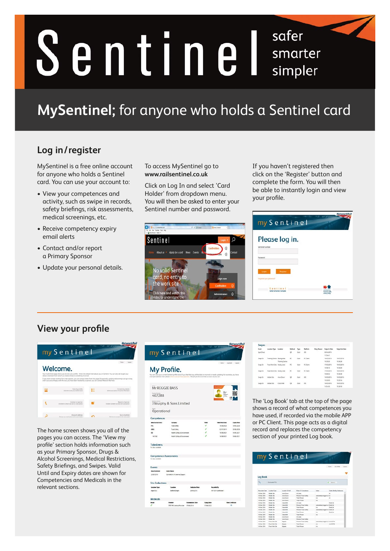# safer Sentinel smarter simpler

# **MySentinel;** for anyone who holds a Sentinel card

## **Log in/register**

**ste**<br>ee d<br>old: MySentinel is a free online account for anyone who holds a Sentinel card. You can use your account to:

- bete<br><sup>;</sup> sw<br>, risl<br>ngs • View your competences and activity, such as swipe in records, safety briefings, risk assessments, medical screenings, etc.
- Receive competency expiry email alerts
- Contact and/or report a Primary Sponsor
- Update your personal details.

To access MySentinel go to **[www.railsentinel.co.uk](http://www.railsentinel.co.uk)**

Click on Log In and select 'Card Holder' from dropdown menu. You will then be asked to enter your Sentinel number and password.



If you haven't registered then click on the 'Register' button and complete the form. You will then be able to instantly login and view your profile.

| my Sentinel                                            | <b>NetworkRail</b> |
|--------------------------------------------------------|--------------------|
| Please log in.<br>Sentinei number                      |                    |
| Ponsecro                                               |                    |
| <b>Register</b><br>toph<br>Perigotten play presidents? |                    |
| Sentinal<br>Sofer Smorter Simpler                      | every day          |

### **View your profile**



The home screen shows you all of the pages you can access. The 'View my profile' section holds information such as your Primary Sponsor, Drugs & Alcohol Screenings, Medical Restrictions, Safety Briefings, and Swipes. Valid Until and Expiry dates are shown for Competencies and Medicals in the relevant sections.



| <b>Swipes</b>   |                             |                  |              |           |                   |             |                               |                                |
|-----------------|-----------------------------|------------------|--------------|-----------|-------------------|-------------|-------------------------------|--------------------------------|
| Event .         | Location Type Location      |                  | Mathod       | Tube      | ومنافذ            | Dary Regard | <b>Swige St Dots</b>          | Swige Out Dota                 |
| Spot Chuck      |                             |                  | ú.           | Cost      | 4k                |             | 06/04/2016                    |                                |
|                 |                             |                  |              |           |                   |             | 115661                        |                                |
| Suspector       | Transmy Carties Besingstate |                  | $\sim$       | Cast      | <b>In Cases</b>   |             | <b><i>Intelligibility</i></b> | 18403-0014                     |
|                 |                             | Trianong Cariba  | and in       |           |                   |             | 10 25 30                      | 103628                         |
| Swipe In        | Food Work Site Albeity Lane |                  | $\mathbb{R}$ | Card      | <b>PC Chart</b>   |             | <b>LEGS/2016</b>              | 18/05/2014                     |
|                 |                             |                  |              |           |                   |             | 105810                        | 103628                         |
| <b>Senie In</b> | Four-took Sta., Mudy Line   |                  | ú,<br>×      | Cont<br>w | In Cases          |             | <b>KTwick Dorse</b>           | <b><i><u>IRAINOMIN</u></i></b> |
|                 |                             |                  |              |           | ---               |             | 100002                        | 10:34.28                       |
| Swipe In        | <b>Millide Situ</b>         | <b>Aw's Down</b> | u            | Card      | $-406$            |             | 16/05/2016                    | 16/03/2014                     |
|                 |                             |                  | Ÿ.           | -         | <b>STATISTICS</b> |             | 153305                        | 15:35:56                       |
| Tuesda Th       | <b>ANVIOLETZA</b>           | CAUSE MAIL       | <b>CH</b>    | Cikit.    | en.               |             | 16/03/2016                    | 16/03/3016                     |
|                 |                             |                  |              |           |                   |             | 14,54,58                      | 15:30.18                       |

The 'Log Book' tab at the top of the page shows a record of what competences you have used, if recorded via the mobile APP or PC Client. This page acts as a digital record and replaces the competency section of your printed Log book.

| Log Book<br>$\mathbf{Q}$<br><b>Earlyide PTS</b><br>Search<br><b>Associat Euro</b><br><b>Location Tupe</b><br>Location De Ball<br><b>Roles Dr Competence</b><br><b>Notice</b><br><b>16 May 2018</b><br><b>Burne</b> Director<br>AC Lines<br><b>Middle Ster</b><br>16 May 2018<br><b>Boyle Driver</b><br>Ference Trade Sales<br><b>Make Tax</b><br>Jakimaticals topped of its<br><b>James Director</b><br><b>14 May 2016</b><br><b>Track Period</b><br><b>Motor Ste-</b><br>448<br><b>Jame Down</b><br>16 Mar 2016<br><b>Motor Ster</b><br>Track Person<br>nie<br><b>NEMA TRIAL</b><br><b>Motor Ster</b><br>/ seus Mile<br>Art Laws<br><b>Putation</b><br><b>Personal Track Sales</b><br><b>16 Mar 2516</b><br><b>Mobile Ster</b><br>Fabric MA<br>Automaticals logged will Dutat'un<br><b><i><u>Such Person</u></i></b><br>Canada<br><b>Duration</b><br>16 Mai 2018<br><b>Musike Site</b><br><b>ATM</b><br>Canada<br>Personal Track Sales<br>Automaticals Inquest v.K. DutaCat<br><b>16 Mai 2016</b><br>Musike Sile<br><b>Track Person</b><br><b>Ni Mar 2014</b><br>ColorAM<br><b>Monday Side</b><br><b>Batalon</b><br>n/a<br><b>Track Painter</b><br>Calcul Mill<br>16 Mai 2016<br><b>Models</b> Take<br>and<br><b>16 May 2016</b><br><b>Acre Doce</b><br>Art is more.<br><b>Monday Color</b><br><b>Born Docor</b><br><b>Ference Track Sales</b><br>16 May 2618<br><b>Multiple Siles</b><br><b>Received Track Sales</b><br>16 Mar 2016<br>Fowd Heat Ste-<br><b>Automaticals Inquest ud. ANY25795</b><br>Edgetec |  |  | Hame any Porter Logod  |
|----------------------------------------------------------------------------------------------------------------------------------------------------------------------------------------------------------------------------------------------------------------------------------------------------------------------------------------------------------------------------------------------------------------------------------------------------------------------------------------------------------------------------------------------------------------------------------------------------------------------------------------------------------------------------------------------------------------------------------------------------------------------------------------------------------------------------------------------------------------------------------------------------------------------------------------------------------------------------------------------------------------------------------------------------------------------------------------------------------------------------------------------------------------------------------------------------------------------------------------------------------------------------------------------------------------------------------------------------------------------------------------------------------------------------------------------------------------------------------------------------------------|--|--|------------------------|
|                                                                                                                                                                                                                                                                                                                                                                                                                                                                                                                                                                                                                                                                                                                                                                                                                                                                                                                                                                                                                                                                                                                                                                                                                                                                                                                                                                                                                                                                                                                |  |  |                        |
|                                                                                                                                                                                                                                                                                                                                                                                                                                                                                                                                                                                                                                                                                                                                                                                                                                                                                                                                                                                                                                                                                                                                                                                                                                                                                                                                                                                                                                                                                                                |  |  |                        |
|                                                                                                                                                                                                                                                                                                                                                                                                                                                                                                                                                                                                                                                                                                                                                                                                                                                                                                                                                                                                                                                                                                                                                                                                                                                                                                                                                                                                                                                                                                                |  |  |                        |
|                                                                                                                                                                                                                                                                                                                                                                                                                                                                                                                                                                                                                                                                                                                                                                                                                                                                                                                                                                                                                                                                                                                                                                                                                                                                                                                                                                                                                                                                                                                |  |  |                        |
|                                                                                                                                                                                                                                                                                                                                                                                                                                                                                                                                                                                                                                                                                                                                                                                                                                                                                                                                                                                                                                                                                                                                                                                                                                                                                                                                                                                                                                                                                                                |  |  |                        |
|                                                                                                                                                                                                                                                                                                                                                                                                                                                                                                                                                                                                                                                                                                                                                                                                                                                                                                                                                                                                                                                                                                                                                                                                                                                                                                                                                                                                                                                                                                                |  |  |                        |
|                                                                                                                                                                                                                                                                                                                                                                                                                                                                                                                                                                                                                                                                                                                                                                                                                                                                                                                                                                                                                                                                                                                                                                                                                                                                                                                                                                                                                                                                                                                |  |  | Subs. Brating Releases |
|                                                                                                                                                                                                                                                                                                                                                                                                                                                                                                                                                                                                                                                                                                                                                                                                                                                                                                                                                                                                                                                                                                                                                                                                                                                                                                                                                                                                                                                                                                                |  |  |                        |
|                                                                                                                                                                                                                                                                                                                                                                                                                                                                                                                                                                                                                                                                                                                                                                                                                                                                                                                                                                                                                                                                                                                                                                                                                                                                                                                                                                                                                                                                                                                |  |  |                        |
|                                                                                                                                                                                                                                                                                                                                                                                                                                                                                                                                                                                                                                                                                                                                                                                                                                                                                                                                                                                                                                                                                                                                                                                                                                                                                                                                                                                                                                                                                                                |  |  |                        |
|                                                                                                                                                                                                                                                                                                                                                                                                                                                                                                                                                                                                                                                                                                                                                                                                                                                                                                                                                                                                                                                                                                                                                                                                                                                                                                                                                                                                                                                                                                                |  |  |                        |
|                                                                                                                                                                                                                                                                                                                                                                                                                                                                                                                                                                                                                                                                                                                                                                                                                                                                                                                                                                                                                                                                                                                                                                                                                                                                                                                                                                                                                                                                                                                |  |  |                        |
|                                                                                                                                                                                                                                                                                                                                                                                                                                                                                                                                                                                                                                                                                                                                                                                                                                                                                                                                                                                                                                                                                                                                                                                                                                                                                                                                                                                                                                                                                                                |  |  |                        |
|                                                                                                                                                                                                                                                                                                                                                                                                                                                                                                                                                                                                                                                                                                                                                                                                                                                                                                                                                                                                                                                                                                                                                                                                                                                                                                                                                                                                                                                                                                                |  |  |                        |
|                                                                                                                                                                                                                                                                                                                                                                                                                                                                                                                                                                                                                                                                                                                                                                                                                                                                                                                                                                                                                                                                                                                                                                                                                                                                                                                                                                                                                                                                                                                |  |  |                        |
|                                                                                                                                                                                                                                                                                                                                                                                                                                                                                                                                                                                                                                                                                                                                                                                                                                                                                                                                                                                                                                                                                                                                                                                                                                                                                                                                                                                                                                                                                                                |  |  |                        |
|                                                                                                                                                                                                                                                                                                                                                                                                                                                                                                                                                                                                                                                                                                                                                                                                                                                                                                                                                                                                                                                                                                                                                                                                                                                                                                                                                                                                                                                                                                                |  |  |                        |
|                                                                                                                                                                                                                                                                                                                                                                                                                                                                                                                                                                                                                                                                                                                                                                                                                                                                                                                                                                                                                                                                                                                                                                                                                                                                                                                                                                                                                                                                                                                |  |  |                        |
|                                                                                                                                                                                                                                                                                                                                                                                                                                                                                                                                                                                                                                                                                                                                                                                                                                                                                                                                                                                                                                                                                                                                                                                                                                                                                                                                                                                                                                                                                                                |  |  |                        |
|                                                                                                                                                                                                                                                                                                                                                                                                                                                                                                                                                                                                                                                                                                                                                                                                                                                                                                                                                                                                                                                                                                                                                                                                                                                                                                                                                                                                                                                                                                                |  |  |                        |
| 16 Mar 2014<br><b>Track Person</b><br>Ford Hert Ste<br><b>ARKWORK</b><br>Enterior<br>nie                                                                                                                                                                                                                                                                                                                                                                                                                                                                                                                                                                                                                                                                                                                                                                                                                                                                                                                                                                                                                                                                                                                                                                                                                                                                                                                                                                                                                       |  |  |                        |